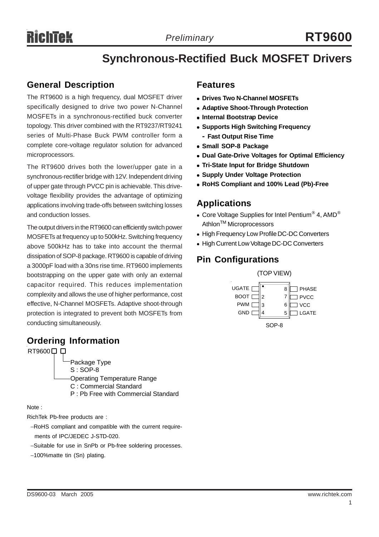# **Synchronous-Rectified Buck MOSFET Drivers**

## **General Description**

The RT9600 is a high frequency, dual MOSFET driver specifically designed to drive two power N-Channel MOSFETs in a synchronous-rectified buck converter topology. This driver combined with the RT9237/RT9241 series of Multi-Phase Buck PWM controller form a complete core-voltage regulator solution for advanced microprocessors.

The RT9600 drives both the lower/upper gate in a synchronous-rectifier bridge with 12V. Independent driving of upper gate through PVCC pin is achievable. This drivevoltage flexibility provides the advantage of optimizing applications involving trade-offs between switching losses and conduction losses.

The output drivers in the RT9600 can efficiently switch power MOSFETs at frequency up to 500kHz. Switching frequency above 500kHz has to take into account the thermal dissipation of SOP-8 package. RT9600 is capable of driving a 3000pF load with a 30ns rise time. RT9600 implements bootstrapping on the upper gate with only an external capacitor required. This reduces implementation complexity and allows the use of higher performance, cost effective, N-Channel MOSFETs. Adaptive shoot-through protection is integrated to prevent both MOSFETs from conducting simultaneously.

## **Ordering Information**

RT9600<sup>D</sup> Package Type S : SOP-8 Operating Temperature Range C : Commercial Standard P : Pb Free with Commercial Standard

Note :

RichTek Pb-free products are :

- −RoHS compliant and compatible with the current require ments of IPC/JEDEC J-STD-020.
- −Suitable for use in SnPb or Pb-free soldering processes.
- −100%matte tin (Sn) plating.

#### **Features**

- **Drives Two N-Channel MOSFETs**
- **Adaptive Shoot-Through Protection**
- $\bullet$  **Internal Bootstrap Device**
- **Supports High Switching Frequency** 
	- **- Fast Output Rise Time**
- **Small SOP-8 Package**
- **Dual Gate-Drive Voltages for Optimal Efficiency**
- **Tri-State Input for Bridge Shutdown**
- **Supply Under Voltage Protection**
- <sup>z</sup> **RoHS Compliant and 100% Lead (Pb)-Free**

#### **Applications**

- Core Voltage Supplies for Intel Pentium® 4, AMD<sup>®</sup> Athlon<sup>™</sup> Microprocessors
- High Frequency Low Profile DC-DC Converters
- High Current Low Voltage DC-DC Converters

## **Pin Configurations**

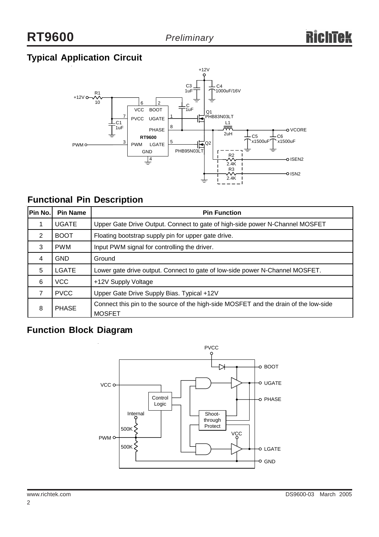## **Typical Application Circuit**



## **Functional Pin Description**

| Pin No.           | <b>Pin Name</b> | <b>Pin Function</b>                                                                                   |  |  |  |  |
|-------------------|-----------------|-------------------------------------------------------------------------------------------------------|--|--|--|--|
|                   | <b>UGATE</b>    | Upper Gate Drive Output. Connect to gate of high-side power N-Channel MOSFET                          |  |  |  |  |
| 2                 | <b>BOOT</b>     | Floating bootstrap supply pin for upper gate drive.                                                   |  |  |  |  |
| 3                 | <b>PWM</b>      | Input PWM signal for controlling the driver.                                                          |  |  |  |  |
| $\overline{4}$    | <b>GND</b>      | Ground                                                                                                |  |  |  |  |
| 5                 | LGATE           | Lower gate drive output. Connect to gate of low-side power N-Channel MOSFET.                          |  |  |  |  |
| 6                 | VCC             | +12V Supply Voltage                                                                                   |  |  |  |  |
| 7                 | <b>PVCC</b>     | Upper Gate Drive Supply Bias. Typical +12V                                                            |  |  |  |  |
| <b>PHASE</b><br>8 |                 | Connect this pin to the source of the high-side MOSFET and the drain of the low-side<br><b>MOSFET</b> |  |  |  |  |

## **Function Block Diagram**

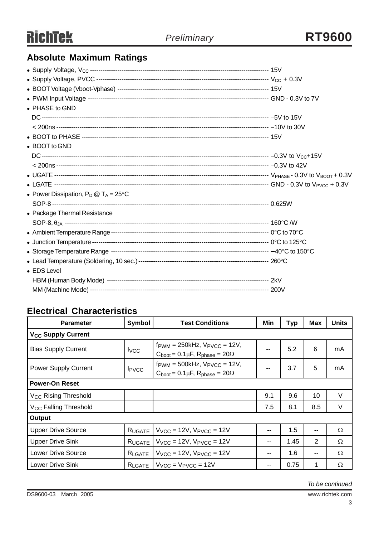## **Absolute Maximum Ratings**

| • PHASE to GND                                 |  |
|------------------------------------------------|--|
|                                                |  |
|                                                |  |
|                                                |  |
| • BOOT to GND                                  |  |
|                                                |  |
|                                                |  |
|                                                |  |
|                                                |  |
| • Power Dissipation, $P_D @ T_A = 25^{\circ}C$ |  |
|                                                |  |
| • Package Thermal Resistance                   |  |
|                                                |  |
|                                                |  |
|                                                |  |
|                                                |  |
|                                                |  |
| • EDS Level                                    |  |
|                                                |  |
|                                                |  |

## **Electrical Characteristics**

| <b>Parameter</b>                     | Symbol                   | <b>Test Conditions</b>                                                                                          | Min   | Typ  | <b>Max</b>     | <b>Units</b> |  |
|--------------------------------------|--------------------------|-----------------------------------------------------------------------------------------------------------------|-------|------|----------------|--------------|--|
| <b>V<sub>CC</sub></b> Supply Current |                          |                                                                                                                 |       |      |                |              |  |
| <b>Bias Supply Current</b>           | $I_{VCC}$                | $f_{\text{PWM}} = 250$ kHz, $V_{\text{PVCC}} = 12V$ ,<br>$C_{boot} = 0.1 \mu F$ , $R_{phase} = 20 \Omega$       | --    | 5.2  | 6              | mA           |  |
| <b>Power Supply Current</b>          | <b>I</b> <sub>PVCC</sub> | $f_{\text{PWM}} = 500$ kHz, $V_{\text{PVCC}} = 12V$ ,<br>--<br>$C_{boot} = 0.1 \mu F$ , $R_{phase} = 20 \Omega$ |       | 3.7  | 5              | mA           |  |
| <b>Power-On Reset</b>                |                          |                                                                                                                 |       |      |                |              |  |
| V <sub>CC</sub> Rising Threshold     |                          |                                                                                                                 | 9.1   | 9.6  | 10             | V            |  |
| V <sub>CC</sub> Falling Threshold    |                          |                                                                                                                 | 7.5   | 8.1  | 8.5            | V            |  |
| Output                               |                          |                                                                                                                 |       |      |                |              |  |
| <b>Upper Drive Source</b>            | RUGATE                   | $V_{VCC}$ = 12V, $V_{PVCC}$ = 12V                                                                               | --    | 1.5  | --             | Ω            |  |
| <b>Upper Drive Sink</b>              | RUGATE                   | $V_{VCC}$ = 12V, $V_{PVCC}$ = 12V                                                                               | $- -$ | 1.45 | $\overline{2}$ | Ω            |  |
| <b>Lower Drive Source</b>            | RLGATE                   | $V_{VCC}$ = 12V, $V_{PVCC}$ = 12V                                                                               | --    | 1.6  | --             | Ω            |  |
| <b>Lower Drive Sink</b>              | RLGATE                   | $V_{VCC}$ = $V_{PVCC}$ = 12V                                                                                    | --    | 0.75 |                | Ω            |  |

*To be continued*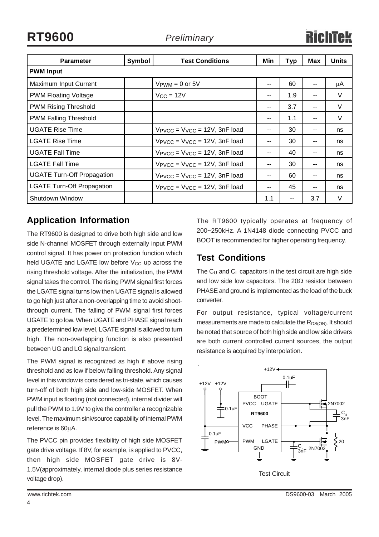**RT9600** *Preliminary*

| <b>Parameter</b>                  | Symbol | <b>Test Conditions</b>                              | Min | <b>Typ</b> | Max | <b>Units</b> |
|-----------------------------------|--------|-----------------------------------------------------|-----|------------|-----|--------------|
| <b>PWM Input</b>                  |        |                                                     |     |            |     |              |
| Maximum Input Current             |        | $V_{\text{PWM}} = 0$ or 5V                          | --  | 60         | --  | μA           |
| <b>PWM Floating Voltage</b>       |        | $V_{CC} = 12V$                                      | --  | 1.9        | --  | V            |
| <b>PWM Rising Threshold</b>       |        |                                                     | --  | 3.7        | --  | $\vee$       |
| <b>PWM Falling Threshold</b>      |        |                                                     | --  | 1.1        | --  | $\vee$       |
| <b>UGATE Rise Time</b>            |        | $V_{\text{PVCC}} = V_{\text{VCC}} = 12V$ , 3nF load | --  | 30         | --  | ns           |
| <b>LGATE Rise Time</b>            |        | $V_{\text{PVCC}} = V_{\text{VCC}} = 12V$ , 3nF load | --  | 30         | --  | ns           |
| <b>UGATE Fall Time</b>            |        | $V_{\text{PVCC}} = V_{\text{VCC}} = 12V$ , 3nF load | --  | 40         | --  | ns           |
| <b>LGATE Fall Time</b>            |        | $V_{\text{PVCC}} = V_{\text{VCC}} = 12V$ , 3nF load | --  | 30         | --  | ns           |
| <b>UGATE Turn-Off Propagation</b> |        | $V_{\text{PVCC}} = V_{\text{VCC}} = 12V$ , 3nF load | $-$ | 60         | --  | ns           |
| <b>LGATE Turn-Off Propagation</b> |        | $V_{\text{PVCC}} = V_{\text{VCC}} = 12V$ , 3nF load | --  | 45         | --  | ns           |
| Shutdown Window                   |        |                                                     | 1.1 |            | 3.7 | $\vee$       |

## **Application Information**

The RT9600 is designed to drive both high side and low side N-channel MOSFET through externally input PWM control signal. It has power on protection function which held UGATE and LGATE low before  $V_{CC}$  up across the rising threshold voltage. After the initialization, the PWM signal takes the control. The rising PWM signal first forces the LGATE signal turns low then UGATE signal is allowed to go high just after a non-overlapping time to avoid shootthrough current. The falling of PWM signal first forces UGATE to go low. When UGATE and PHASE signal reach a predetermined low level, LGATE signal is allowed to turn high. The non-overlapping function is also presented between UG and LG signal transient.

The PWM signal is recognized as high if above rising threshold and as low if below falling threshold. Any signal level in this window is considered as tri-state, which causes turn-off of both high side and low-side MOSFET. When PWM input is floating (not connected), internal divider will pull the PWM to 1.9V to give the controller a recognizable level. The maximum sink/source capability of internal PWM reference is 60µA.

The PVCC pin provides flexibility of high side MOSFET gate drive voltage. If 8V, for example, is applied to PVCC, then high side MOSFET gate drive is 8V-1.5V(approximately, internal diode plus series resistance voltage drop).

The RT9600 typically operates at frequency of 200~250kHz. A 1N4148 diode connecting PVCC and BOOT is recommended for higher operating frequency.

## **Test Conditions**

The  $C_U$  and  $C_L$  capacitors in the test circuit are high side and low side low capacitors. The  $20\Omega$  resistor between PHASE and ground is implemented as the load of the buck converter.

For output resistance, typical voltage/current measurements are made to calculate the  $R_{DS(ON)}$ . It should be noted that source of both high side and low side drivers are both current controlled current sources, the output resistance is acquired by interpolation.



4